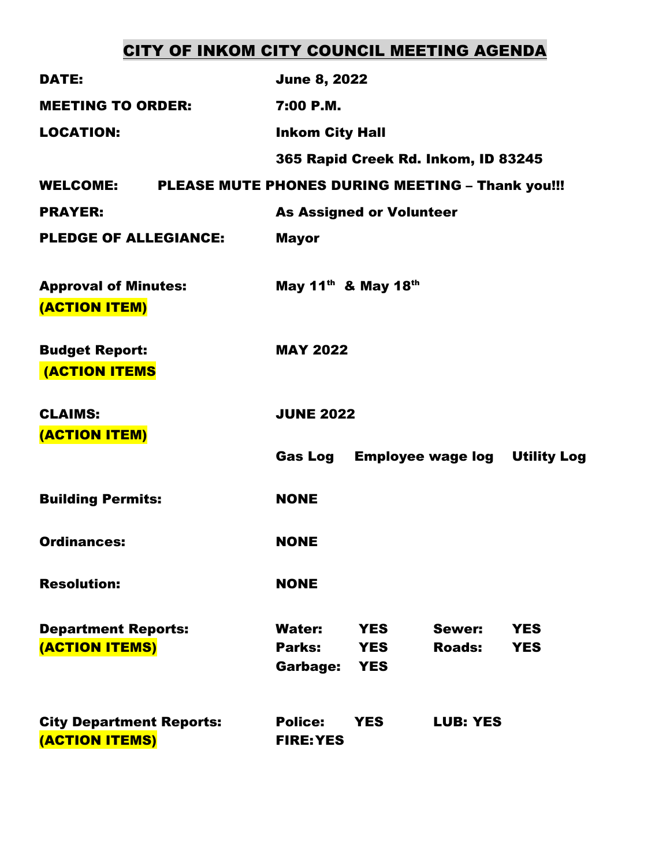# CITY OF INKOM CITY COUNCIL MEETING AGENDA

| <b>DATE:</b>                                      | <b>June 8, 2022</b>                                                                                                                  |
|---------------------------------------------------|--------------------------------------------------------------------------------------------------------------------------------------|
| <b>MEETING TO ORDER:</b>                          | 7:00 P.M.                                                                                                                            |
| <b>LOCATION:</b>                                  | <b>Inkom City Hall</b>                                                                                                               |
|                                                   | 365 Rapid Creek Rd. Inkom, ID 83245                                                                                                  |
| <b>WELCOME:</b>                                   | PLEASE MUTE PHONES DURING MEETING - Thank you!!!                                                                                     |
| <b>PRAYER:</b>                                    | <b>As Assigned or Volunteer</b>                                                                                                      |
| <b>PLEDGE OF ALLEGIANCE:</b>                      | <b>Mayor</b>                                                                                                                         |
| <b>Approval of Minutes:</b><br>(ACTION ITEM)      | May 11 <sup>th</sup> & May 18 <sup>th</sup>                                                                                          |
| <b>Budget Report:</b><br><b>(ACTION ITEMS</b>     | <b>MAY 2022</b>                                                                                                                      |
| <b>CLAIMS:</b><br>(ACTION ITEM)                   | <b>JUNE 2022</b>                                                                                                                     |
|                                                   | Gas Log<br><b>Employee wage log Utility Log</b>                                                                                      |
| <b>Building Permits:</b>                          | <b>NONE</b>                                                                                                                          |
| <b>Ordinances:</b>                                | <b>NONE</b>                                                                                                                          |
| <b>Resolution:</b>                                | <b>NONE</b>                                                                                                                          |
| <b>Department Reports:</b><br>(ACTION ITEMS)      | <b>Water:</b><br>Sewer:<br><b>YES</b><br><b>YES</b><br>Parks:<br><b>Roads:</b><br><b>YES</b><br><b>YES</b><br>Garbage:<br><b>YES</b> |
| <b>City Department Reports:</b><br>(ACTION ITEMS) | <b>Police:</b><br><b>YES</b><br><b>LUB: YES</b><br><b>FIRE: YES</b>                                                                  |